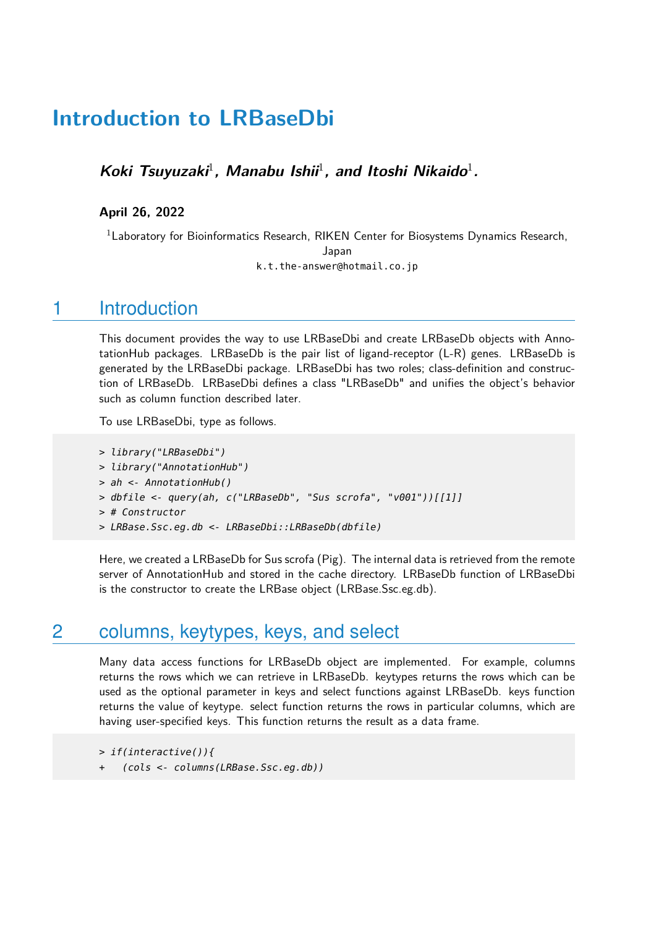# **Introduction to LRBaseDbi**

Koki Tsuyuzaki<sup>1</sup>, Manabu Ishii<sup>1</sup>, and Itoshi Nikaido<sup>1</sup>.

**April 26, 2022**

<sup>1</sup> Laboratory for Bioinformatics Research, RIKEN Center for Biosystems Dynamics Research, Japan k.t.the-answer@hotmail.co.jp

#### 1 Introduction

This document provides the way to use LRBaseDbi and create LRBaseDb objects with AnnotationHub packages. LRBaseDb is the pair list of ligand-receptor (L-R) genes. LRBaseDb is generated by the LRBaseDbi package. LRBaseDbi has two roles; class-definition and construction of LRBaseDb. LRBaseDbi defines a class "LRBaseDb" and unifies the object's behavior such as column function described later.

To use LRBaseDbi, type as follows.

```
> library("LRBaseDbi")
```
- > library("AnnotationHub")
- > ah <- AnnotationHub()
- > dbfile <- query(ah, c("LRBaseDb", "Sus scrofa", "v001"))[[1]]
- > # Constructor
- > LRBase.Ssc.eg.db <- LRBaseDbi::LRBaseDb(dbfile)

Here, we created a LRBaseDb for Sus scrofa (Pig). The internal data is retrieved from the remote server of AnnotationHub and stored in the cache directory. LRBaseDb function of LRBaseDbi is the constructor to create the LRBase object (LRBase.Ssc.eg.db).

#### 2 columns, keytypes, keys, and select

Many data access functions for LRBaseDb object are implemented. For example, columns returns the rows which we can retrieve in LRBaseDb. keytypes returns the rows which can be used as the optional parameter in keys and select functions against LRBaseDb. keys function returns the value of keytype. select function returns the rows in particular columns, which are having user-specified keys. This function returns the result as a data frame.

> if(interactive()){

+ (cols <- columns(LRBase.Ssc.eg.db))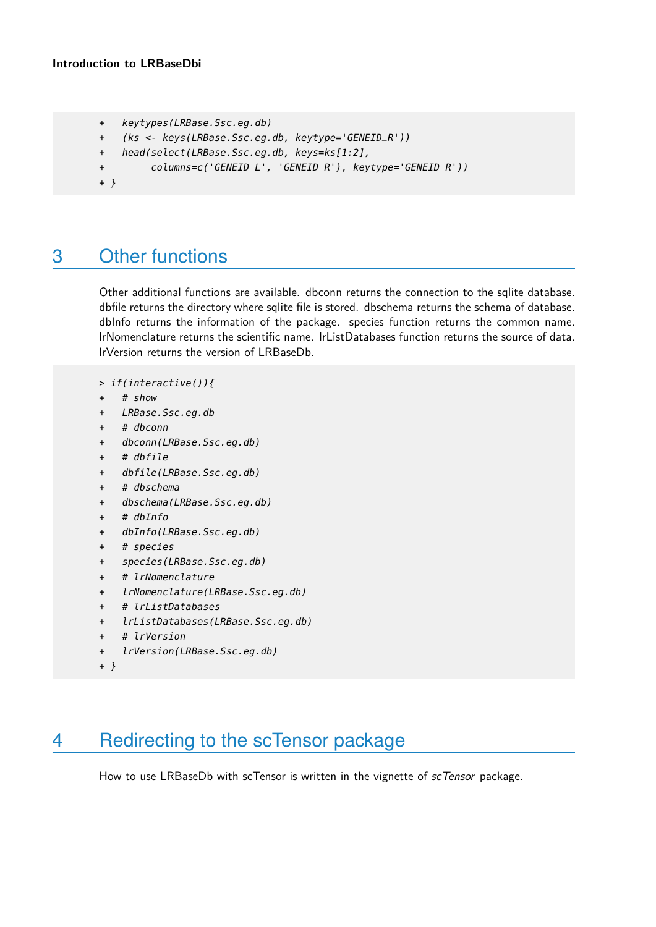```
+ keytypes(LRBase.Ssc.eg.db)
```
- + (ks <- keys(LRBase.Ssc.eg.db, keytype='GENEID\_R'))
- + head(select(LRBase.Ssc.eg.db, keys=ks[1:2],
- + columns=c('GENEID\_L', 'GENEID\_R'), keytype='GENEID\_R'))

```
+ }
```
## 3 Other functions

Other additional functions are available. dbconn returns the connection to the sqlite database. dbfile returns the directory where sqlite file is stored. dbschema returns the schema of database. dbInfo returns the information of the package. species function returns the common name. lrNomenclature returns the scientific name. lrListDatabases function returns the source of data. lrVersion returns the version of LRBaseDb.

```
> if(interactive()){
```
- + # show
- + LRBase.Ssc.eg.db
- + # dbconn
- + dbconn(LRBase.Ssc.eg.db)
- + # dbfile
- + dbfile(LRBase.Ssc.eg.db)
- + # dbschema
- + dbschema(LRBase.Ssc.eg.db)
- + # dbInfo
- + dbInfo(LRBase.Ssc.eg.db)
- + # species
- + species(LRBase.Ssc.eg.db)
- + # lrNomenclature
- + lrNomenclature(LRBase.Ssc.eg.db)
- + # lrListDatabases
- + lrListDatabases(LRBase.Ssc.eg.db)
- + # lrVersion
- + lrVersion(LRBase.Ssc.eg.db)

```
+ }
```
### 4 Redirecting to the scTensor package

How to use LRBaseDb with scTensor is written in the vignette of scTensor package.